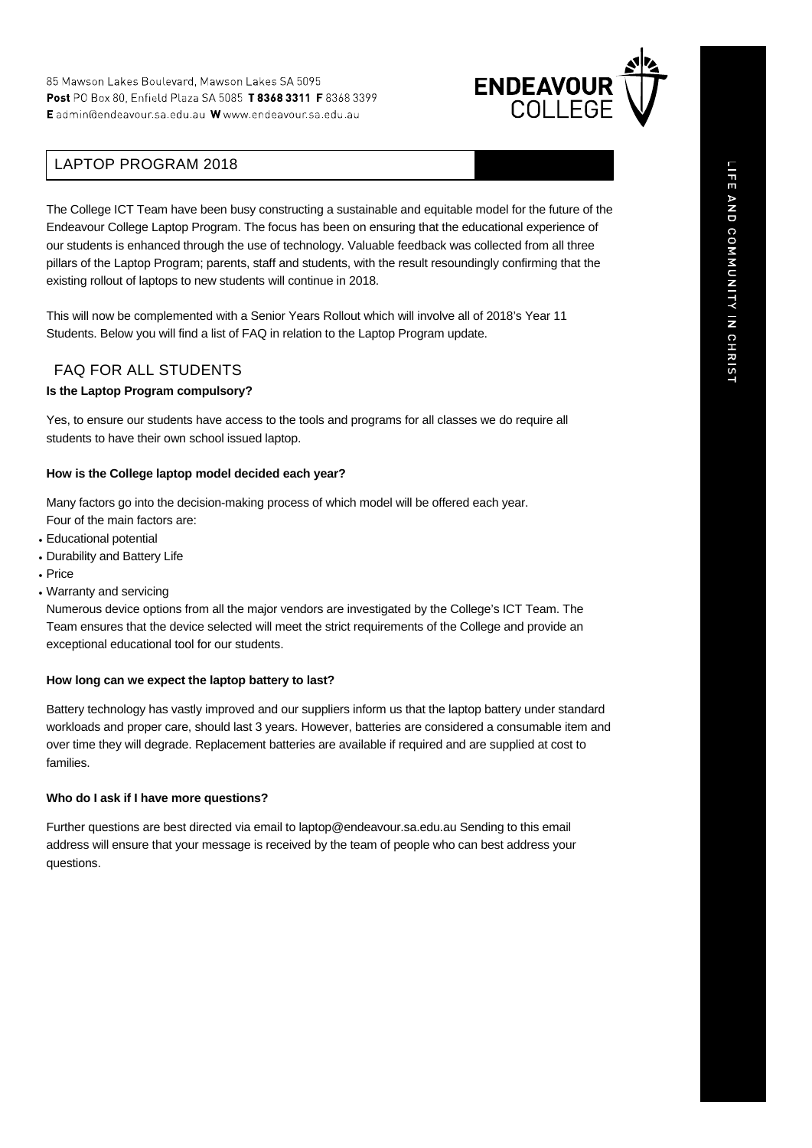

# LAPTOP PROGRAM 2018

The College ICT Team have been busy constructing a sustainable and equitable model for the future of the Endeavour College Laptop Program. The focus has been on ensuring that the educational experience of our students is enhanced through the use of technology. Valuable feedback was collected from all three pillars of the Laptop Program; parents, staff and students, with the result resoundingly confirming that the existing rollout of laptops to new students will continue in 2018.

This will now be complemented with a Senior Years Rollout which will involve all of 2018's Year 11 Students. Below you will find a list of FAQ in relation to the Laptop Program update.

# FAQ FOR ALL STUDENTS

### **Is the Laptop Program compulsory?**

Yes, to ensure our students have access to the tools and programs for all classes we do require all students to have their own school issued laptop.

### **How is the College laptop model decided each year?**

Many factors go into the decision-making process of which model will be offered each year. Four of the main factors are:

- Educational potential
- Durability and Battery Life
- Price
- Warranty and servicing

Numerous device options from all the major vendors are investigated by the College's ICT Team. The Team ensures that the device selected will meet the strict requirements of the College and provide an exceptional educational tool for our students.

### **How long can we expect the laptop battery to last?**

Battery technology has vastly improved and our suppliers inform us that the laptop battery under standard workloads and proper care, should last 3 years. However, batteries are considered a consumable item and over time they will degrade. Replacement batteries are available if required and are supplied at cost to families.

### **Who do I ask if I have more questions?**

Further questions are best directed via email to laptop@endeavour.sa.edu.au Sending to this email address will ensure that your message is received by the team of people who can best address your questions.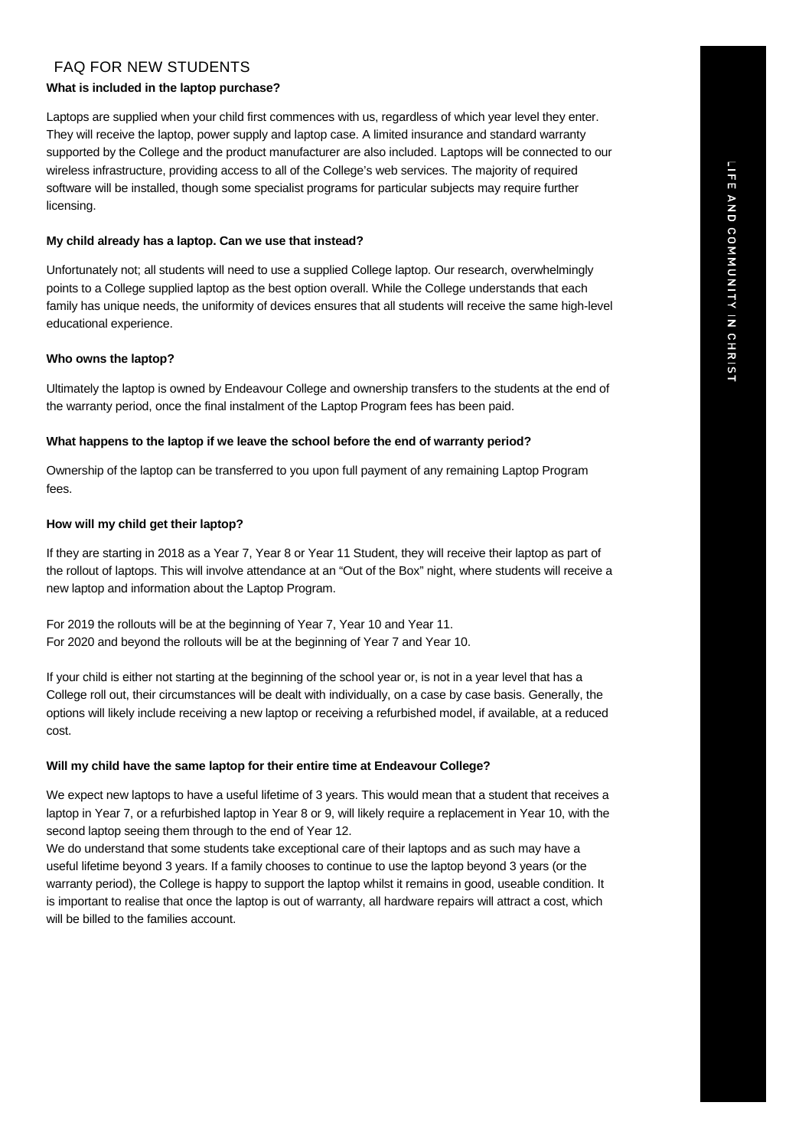# LIFE AND COMMUNITY IN CHRIST

# FAQ FOR NEW STUDENTS

# **What is included in the laptop purchase?**

Laptops are supplied when your child first commences with us, regardless of which year level they enter. They will receive the laptop, power supply and laptop case. A limited insurance and standard warranty supported by the College and the product manufacturer are also included. Laptops will be connected to our wireless infrastructure, providing access to all of the College's web services. The majority of required software will be installed, though some specialist programs for particular subjects may require further licensing.

# **My child already has a laptop. Can we use that instead?**

Unfortunately not; all students will need to use a supplied College laptop. Our research, overwhelmingly points to a College supplied laptop as the best option overall. While the College understands that each family has unique needs, the uniformity of devices ensures that all students will receive the same high-level educational experience.

# **Who owns the laptop?**

Ultimately the laptop is owned by Endeavour College and ownership transfers to the students at the end of the warranty period, once the final instalment of the Laptop Program fees has been paid.

# **What happens to the laptop if we leave the school before the end of warranty period?**

Ownership of the laptop can be transferred to you upon full payment of any remaining Laptop Program fees.

# **How will my child get their laptop?**

If they are starting in 2018 as a Year 7, Year 8 or Year 11 Student, they will receive their laptop as part of the rollout of laptops. This will involve attendance at an "Out of the Box" night, where students will receive a new laptop and information about the Laptop Program.

For 2019 the rollouts will be at the beginning of Year 7, Year 10 and Year 11. For 2020 and beyond the rollouts will be at the beginning of Year 7 and Year 10.

If your child is either not starting at the beginning of the school year or, is not in a year level that has a College roll out, their circumstances will be dealt with individually, on a case by case basis. Generally, the options will likely include receiving a new laptop or receiving a refurbished model, if available, at a reduced cost.

# **Will my child have the same laptop for their entire time at Endeavour College?**

We expect new laptops to have a useful lifetime of 3 years. This would mean that a student that receives a laptop in Year 7, or a refurbished laptop in Year 8 or 9, will likely require a replacement in Year 10, with the second laptop seeing them through to the end of Year 12.

We do understand that some students take exceptional care of their laptops and as such may have a useful lifetime beyond 3 years. If a family chooses to continue to use the laptop beyond 3 years (or the warranty period), the College is happy to support the laptop whilst it remains in good, useable condition. It is important to realise that once the laptop is out of warranty, all hardware repairs will attract a cost, which will be billed to the families account.